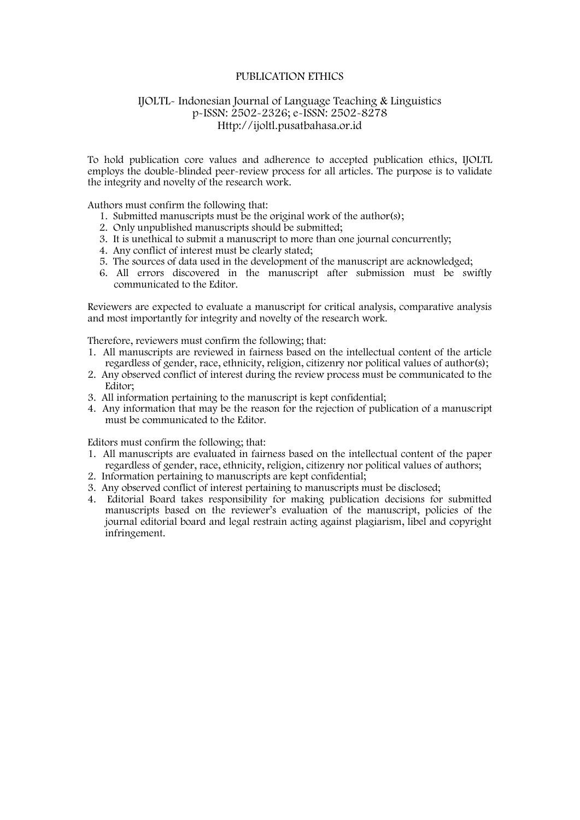# PUBLICATION ETHICS

# IJOLTL- Indonesian Journal of Language Teaching & Linguistics p-ISSN: 2502-2326; e-ISSN: 2502-8278 Http://ijoltl.pusatbahasa.or.id

To hold publication core values and adherence to accepted publication ethics, IJOLTL employs the double-blinded peer-review process for all articles. The purpose is to validate the integrity and novelty of the research work.

Authors must confirm the following that:

- 1. Submitted manuscripts must be the original work of the author(s);
- 2. Only unpublished manuscripts should be submitted;
- 3. It is unethical to submit a manuscript to more than one journal concurrently;
- 4. Any conflict of interest must be clearly stated;
- 5. The sources of data used in the development of the manuscript are acknowledged;
- 6. All errors discovered in the manuscript after submission must be swiftly communicated to the Editor.

Reviewers are expected to evaluate a manuscript for critical analysis, comparative analysis and most importantly for integrity and novelty of the research work.

Therefore, reviewers must confirm the following; that:

- 1. All manuscripts are reviewed in fairness based on the intellectual content of the article regardless of gender, race, ethnicity, religion, citizenry nor political values of author(s);
- 2. Any observed conflict of interest during the review process must be communicated to the Editor;
- 3. All information pertaining to the manuscript is kept confidential;
- 4. Any information that may be the reason for the rejection of publication of a manuscript must be communicated to the Editor.

Editors must confirm the following; that:

- 1. All manuscripts are evaluated in fairness based on the intellectual content of the paper regardless of gender, race, ethnicity, religion, citizenry nor political values of authors;
- 2. Information pertaining to manuscripts are kept confidential;
- 3. Any observed conflict of interest pertaining to manuscripts must be disclosed;
- 4. Editorial Board takes responsibility for making publication decisions for submitted manuscripts based on the reviewer's evaluation of the manuscript, policies of the journal editorial board and legal restrain acting against plagiarism, libel and copyright infringement.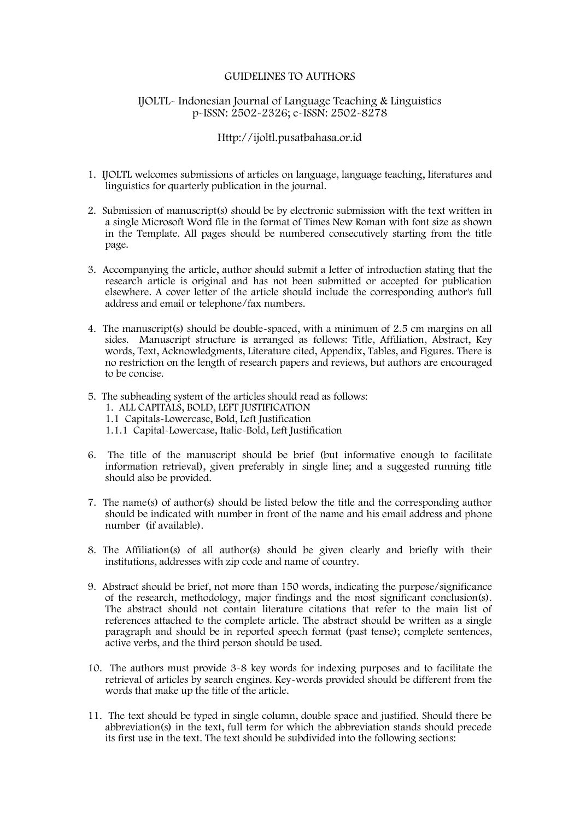#### GUIDELINES TO AUTHORS

# IJOLTL- Indonesian Journal of Language Teaching & Linguistics p-ISSN: 2502-2326; e-ISSN: 2502-8278

## Http://ijoltl.pusatbahasa.or.id

- 1. IJOLTL welcomes submissions of articles on language, language teaching, literatures and linguistics for quarterly publication in the journal.
- 2. Submission of manuscript(s) should be by electronic submission with the text written in a single Microsoft Word file in the format of Times New Roman with font size as shown in the Template. All pages should be numbered consecutively starting from the title page.
- 3. Accompanying the article, author should submit a letter of introduction stating that the research article is original and has not been submitted or accepted for publication elsewhere. A cover letter of the article should include the corresponding author's full address and email or telephone/fax numbers.
- 4. The manuscript(s) should be double-spaced, with a minimum of 2.5 cm margins on all sides. Manuscript structure is arranged as follows: Title, Affiliation, Abstract, Key words, Text, Acknowledgments, Literature cited, Appendix, Tables, and Figures. There is no restriction on the length of research papers and reviews, but authors are encouraged to be concise.
- 5. The subheading system of the articles should read as follows:
	- 1. ALL CAPITALS, BOLD, LEFT JUSTIFICATION
	- 1.1 Capitals-Lowercase, Bold, Left Justification
	- 1.1.1 Capital-Lowercase, Italic-Bold, Left Justification
- 6. The title of the manuscript should be brief (but informative enough to facilitate information retrieval), given preferably in single line; and a suggested running title should also be provided.
- 7. The name(s) of author(s) should be listed below the title and the corresponding author should be indicated with number in front of the name and his email address and phone number (if available).
- 8. The Affiliation(s) of all author(s) should be given clearly and briefly with their institutions, addresses with zip code and name of country.
- 9. Abstract should be brief, not more than 150 words, indicating the purpose/significance of the research, methodology, major findings and the most significant conclusion(s). The abstract should not contain literature citations that refer to the main list of references attached to the complete article. The abstract should be written as a single paragraph and should be in reported speech format (past tense); complete sentences, active verbs, and the third person should be used.
- 10. The authors must provide 3-8 key words for indexing purposes and to facilitate the retrieval of articles by search engines. Key-words provided should be different from the words that make up the title of the article.
- 11. The text should be typed in single column, double space and justified. Should there be abbreviation(s) in the text, full term for which the abbreviation stands should precede its first use in the text. The text should be subdivided into the following sections: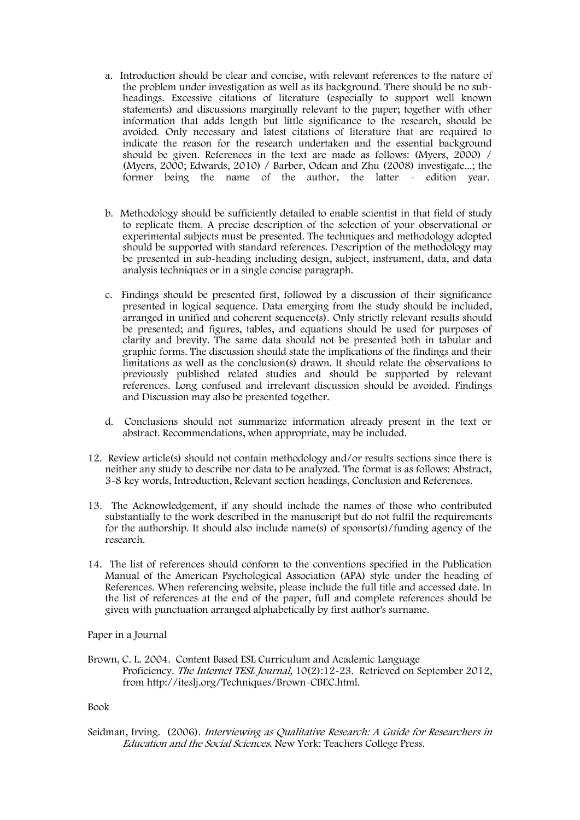- a. Introduction should be clear and concise, with relevant references to the nature of the problem under investigation as well as its background. There should be no sub headings. Excessive citations of literature (especially to support well known statements) and discussions marginally relevant to the paper; together with other information that adds length but little significance to the research, should be avoided. Only necessary and latest citations of literature that are required to indicate the reason for the research undertaken and the essential background should be given. References in the text are made as follows: (Myers, 2000) / (Myers, 2000; Edwards, 2010) / Barber, Odean and Zhu (2008) investigate...; the former being the name of the author, the latter - edition year.
- b. Methodology should be sufficiently detailed to enable scientist in that field of study to replicate them. A precise description of the selection of your observational or experimental subjects must be presented. The techniques and methodology adopted should be supported with standard references. Description of the methodology may be presented in sub-heading including design, subject, instrument, data, and data analysis techniques or in a single concise paragraph.
- c. Findings should be presented first, followed by a discussion of their significance presented in logical sequence. Data emerging from the study should be included, arranged in unified and coherent sequence(s). Only strictly relevant results should be presented; and figures, tables, and equations should be used for purposes of clarity and brevity. The same data should not be presented both in tabular and graphic forms. The discussion should state the implications of the findings and their limitations as well as the conclusion(s) drawn. It should relate the observations to previously published related studies and should be supported by relevant references. Long confused and irrelevant discussion should be avoided. Findings and Discussion may also be presented together.
- d. Conclusions should not summarize information already present in the text or abstract. Recommendations, when appropriate, may be included.
- 12. Review article(s) should not contain methodology and/or results sections since there is neither any study to describe nor data to be analyzed. The format is as follows: Abstract, 3-8 key words, Introduction, Relevant section headings, Conclusion and References.
- 13. The Acknowledgement, if any should include the names of those who contributed substantially to the work described in the manuscript but do not fulfil the requirements for the authorship. It should also include name(s) of sponsor(s)/funding agency of the research.
- 14. The list of references should conform to the conventions specified in the Publication Manual of the American Psychological Association (APA) style under the heading of References. When referencing website, please include the full title and accessed date. In the list of references at the end of the paper, full and complete references should be given with punctuation arranged alphabetically by first author's surname.

Paper in a Journal

Brown, C. L. 2004. Content Based ESL Curriculum and Academic Language Proficiency. The Internet TESL Journal, 10(2):12-23. Retrieved on September 2012, from http://iteslj.org/Techniques/Brown-CBEC.html.

#### Book

Seidman, Irving. (2006). Interviewing as Qualitative Research: A Guide for Researchers in Education and the Social Sciences. New York: Teachers College Press.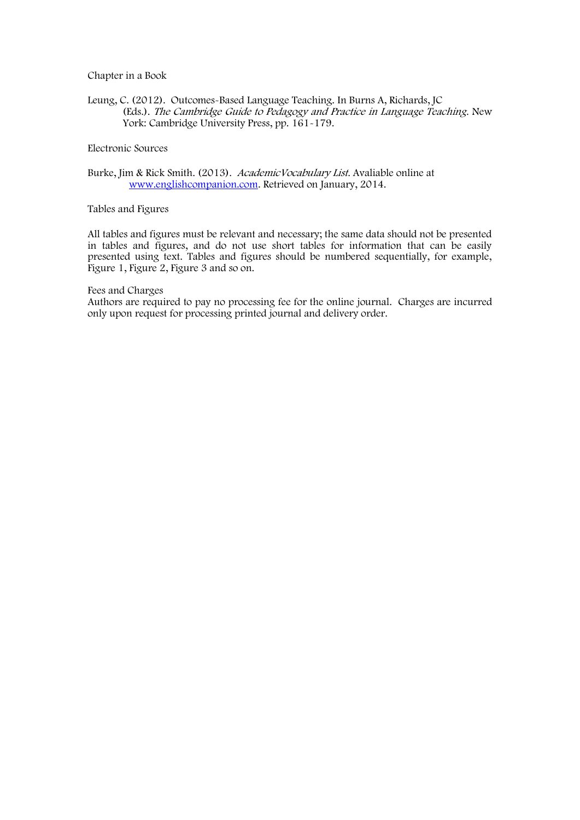#### Chapter in a Book

Leung, C. (2012). Outcomes-Based Language Teaching. In Burns A, Richards, JC (Eds.). The Cambridge Guide to Pedagogy and Practice in Language Teaching. New York: Cambridge University Press, pp. 161-179.

# Electronic Sources

Burke, Jim & Rick Smith. (2013). AcademicVocabulary List. Avaliable online at www.englishcompanion.com. Retrieved on January, 2014.

## Tables and Figures

All tables and figures must be relevant and necessary; the same data should not be presented in tables and figures, and do not use short tables for information that can be easily presented using text. Tables and figures should be numbered sequentially, for example, Figure 1, Figure 2, Figure 3 and so on.

#### Fees and Charges

Authors are required to pay no processing fee for the online journal. Charges are incurred only upon request for processing printed journal and delivery order.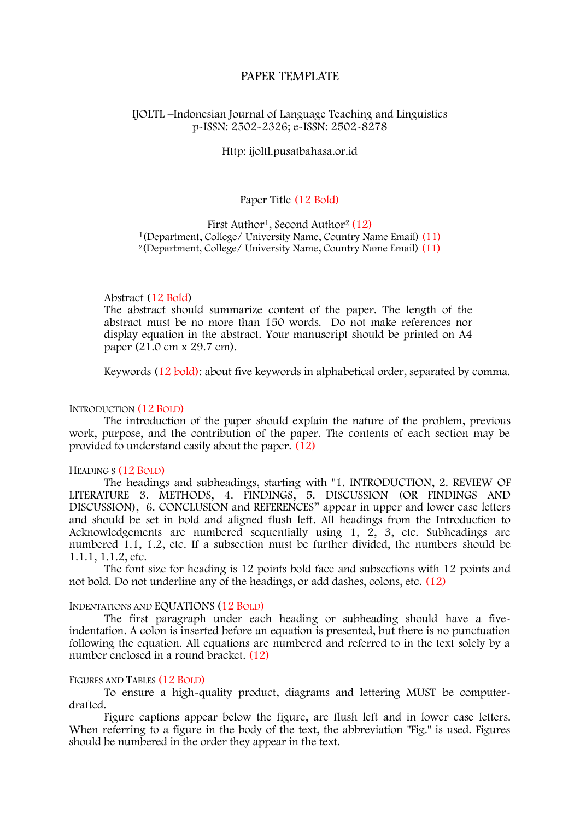# PAPER TEMPLATE

## IJOLTL –Indonesian Journal of Language Teaching and Linguistics p-ISSN: 2502-2326; e-ISSN: 2502-8278

## Http: ijoltl.pusatbahasa.or.id

# Paper Title (12 Bold)

First Author<sup>1</sup>, Second Author<sup>2</sup> (12) <sup>1</sup>(Department, College/ University Name, Country Name Email) (11) <sup>2</sup>(Department, College/ University Name, Country Name Email) (11)

#### Abstract (12 Bold)

The abstract should summarize content of the paper. The length of the abstract must be no more than 150 words. Do not make references nor display equation in the abstract. Your manuscript should be printed on A4 paper (21.0 cm x 29.7 cm).

Keywords (12 bold): about five keywords in alphabetical order, separated by comma.

#### INTRODUCTION (12 BOLD)

The introduction of the paper should explain the nature of the problem, previous work, purpose, and the contribution of the paper. The contents of each section may be provided to understand easily about the paper. (12)

#### HEADING S (12 BOLD)

The headings and subheadings, starting with "1. INTRODUCTION, 2. REVIEW OF LITERATURE 3. METHODS, 4. FINDINGS, 5. DISCUSSION (OR FINDINGS AND DISCUSSION), 6. CONCLUSION and REFERENCES" appear in upper and lower case letters and should be set in bold and aligned flush left. All headings from the Introduction to Acknowledgements are numbered sequentially using 1, 2, 3, etc. Subheadings are numbered 1.1, 1.2, etc. If a subsection must be further divided, the numbers should be 1.1.1, 1.1.2, etc.

The font size for heading is 12 points bold face and subsections with 12 points and not bold. Do not underline any of the headings, or add dashes, colons, etc. (12)

#### INDENTATIONS AND EQUATIONS (12 BOLD)

The first paragraph under each heading or subheading should have a fiveindentation. A colon is inserted before an equation is presented, but there is no punctuation following the equation. All equations are numbered and referred to in the text solely by a number enclosed in a round bracket. (12)

#### FIGURES AND TABLES (12 BOLD)

To ensure a high-quality product, diagrams and lettering MUST be computer drafted.<br>Figure captions appear below the figure, are flush left and in lower case letters.

When referring to a figure in the body of the text, the abbreviation "Fig." is used. Figures should be numbered in the order they appear in the text.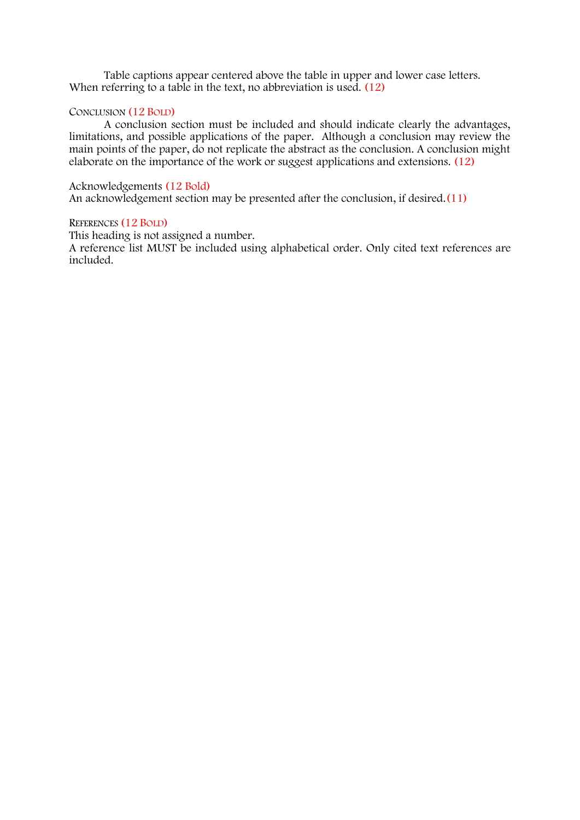Table captions appear centered above the table in upper and lower case letters. When referring to a table in the text, no abbreviation is used. (12)

# CONCLUSION (12 BOLD)

A conclusion section must be included and should indicate clearly the advantages, limitations, and possible applications of the paper. Although a conclusion may review the main points of the paper, do not replicate the abstract as the conclusion. A conclusion might elaborate on the importance of the work or suggest applications and extensions. (12)

# Acknowledgements (12 Bold)

An acknowledgement section may be presented after the conclusion, if desired.(11)

# REFERENCES (12 BOLD)

This heading is not assigned a number.

A reference list MUST be included using alphabetical order. Only cited text references are included.